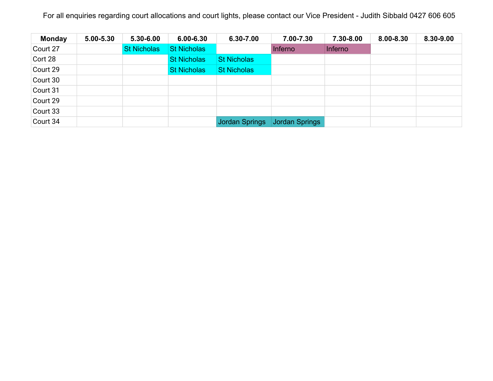| <b>Monday</b> | 5.00-5.30 | 5.30-6.00          | $6.00 - 6.30$      | 6.30-7.00          | 7.00-7.30      | 7.30-8.00      | 8.00-8.30 | 8.30-9.00 |
|---------------|-----------|--------------------|--------------------|--------------------|----------------|----------------|-----------|-----------|
| Court 27      |           | <b>St Nicholas</b> | <b>St Nicholas</b> |                    | Inferno        | <b>Inferno</b> |           |           |
| Cort 28       |           |                    | <b>St Nicholas</b> | <b>St Nicholas</b> |                |                |           |           |
| Court 29      |           |                    | <b>St Nicholas</b> | <b>St Nicholas</b> |                |                |           |           |
| Court 30      |           |                    |                    |                    |                |                |           |           |
| Court 31      |           |                    |                    |                    |                |                |           |           |
| Court 29      |           |                    |                    |                    |                |                |           |           |
| Court 33      |           |                    |                    |                    |                |                |           |           |
| Court 34      |           |                    |                    | Jordan Springs     | Jordan Springs |                |           |           |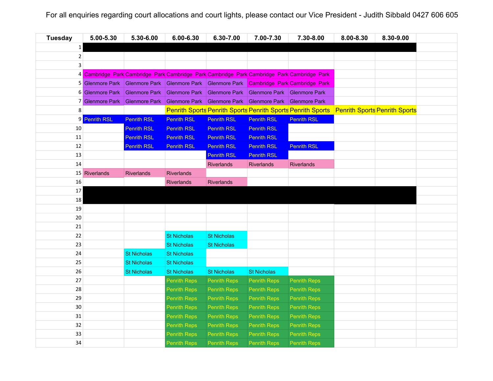| <b>Tuesday</b> | 5.00-5.30            | 5.30-6.00            | $6.00 - 6.30$       | 6.30-7.00                                                                             | 7.00-7.30           | 7.30-8.00                                                                                   | 8.00-8.30 | 8.30-9.00 |  |
|----------------|----------------------|----------------------|---------------------|---------------------------------------------------------------------------------------|---------------------|---------------------------------------------------------------------------------------------|-----------|-----------|--|
| $\mathbf{1}$   |                      |                      |                     |                                                                                       |                     |                                                                                             |           |           |  |
| $\overline{2}$ |                      |                      |                     |                                                                                       |                     |                                                                                             |           |           |  |
| 3              |                      |                      |                     |                                                                                       |                     |                                                                                             |           |           |  |
|                |                      |                      |                     |                                                                                       |                     | 4 Cambridge Park Cambridge Park Cambridge Park Cambridge Park Cambridge Park Cambridge Park |           |           |  |
|                |                      |                      |                     |                                                                                       |                     | 5 Glenmore Park Glenmore Park Glenmore Park Glenmore Park Cambridge Park Cambridge Park     |           |           |  |
| 6              | <b>Glenmore Park</b> | <b>Glenmore Park</b> |                     | Glenmore Park Glenmore Park Glenmore Park Glenmore Park                               |                     |                                                                                             |           |           |  |
|                |                      |                      |                     | 7 Glenmore Park Glenmore Park Glenmore Park Glenmore Park Glenmore Park Glenmore Park |                     |                                                                                             |           |           |  |
| 8              |                      |                      |                     |                                                                                       |                     | Penrith Sports Penrith Sports Penrith Sports Penrith Sports Penrith Sports Penrith Sports   |           |           |  |
| 9              | <b>Penrith RSL</b>   | <b>Penrith RSL</b>   | <b>Penrith RSL</b>  | <b>Penrith RSL</b>                                                                    | <b>Penrith RSL</b>  | <b>Penrith RSL</b>                                                                          |           |           |  |
| 10             |                      | <b>Penrith RSL</b>   | <b>Penrith RSL</b>  | <b>Penrith RSL</b>                                                                    | <b>Penrith RSL</b>  |                                                                                             |           |           |  |
| 11             |                      | <b>Penrith RSL</b>   | <b>Penrith RSL</b>  | <b>Penrith RSL</b>                                                                    | <b>Penrith RSL</b>  |                                                                                             |           |           |  |
| 12             |                      | <b>Penrith RSL</b>   | <b>Penrith RSL</b>  | <b>Penrith RSL</b>                                                                    | <b>Penrith RSL</b>  | <b>Penrith RSL</b>                                                                          |           |           |  |
| 13             |                      |                      |                     | <b>Penrith RSL</b>                                                                    | <b>Penrith RSL</b>  |                                                                                             |           |           |  |
| 14             |                      |                      |                     | Riverlands                                                                            | <b>Riverlands</b>   | <b>Riverlands</b>                                                                           |           |           |  |
|                | 15 Riverlands        | <b>Riverlands</b>    | <b>Riverlands</b>   |                                                                                       |                     |                                                                                             |           |           |  |
| 16             |                      |                      | Riverlands          | <b>Riverlands</b>                                                                     |                     |                                                                                             |           |           |  |
| 17             |                      |                      |                     |                                                                                       |                     |                                                                                             |           |           |  |
| 18             |                      |                      |                     |                                                                                       |                     |                                                                                             |           |           |  |
| 19             |                      |                      |                     |                                                                                       |                     |                                                                                             |           |           |  |
| 20             |                      |                      |                     |                                                                                       |                     |                                                                                             |           |           |  |
| 21             |                      |                      |                     |                                                                                       |                     |                                                                                             |           |           |  |
| 22             |                      |                      | <b>St Nicholas</b>  | <b>St Nicholas</b>                                                                    |                     |                                                                                             |           |           |  |
| 23             |                      |                      | <b>St Nicholas</b>  | <b>St Nicholas</b>                                                                    |                     |                                                                                             |           |           |  |
| 24             |                      | <b>St Nicholas</b>   | <b>St Nicholas</b>  |                                                                                       |                     |                                                                                             |           |           |  |
| 25             |                      | <b>St Nicholas</b>   | <b>St Nicholas</b>  |                                                                                       |                     |                                                                                             |           |           |  |
| 26             |                      | <b>St Nicholas</b>   | <b>St Nicholas</b>  | <b>St Nicholas</b>                                                                    | <b>St Nicholas</b>  |                                                                                             |           |           |  |
| 27             |                      |                      | <b>Penrith Reps</b> | <b>Penrith Reps</b>                                                                   | <b>Penrith Reps</b> | <b>Penrith Reps</b>                                                                         |           |           |  |
| 28             |                      |                      | <b>Penrith Reps</b> | <b>Penrith Reps</b>                                                                   | <b>Penrith Reps</b> | <b>Penrith Reps</b>                                                                         |           |           |  |
| 29             |                      |                      | <b>Penrith Reps</b> | <b>Penrith Reps</b>                                                                   | <b>Penrith Reps</b> | <b>Penrith Reps</b>                                                                         |           |           |  |
| 30             |                      |                      | <b>Penrith Reps</b> | <b>Penrith Reps</b>                                                                   | <b>Penrith Reps</b> | <b>Penrith Reps</b>                                                                         |           |           |  |
| 31             |                      |                      | <b>Penrith Reps</b> | <b>Penrith Reps</b>                                                                   | <b>Penrith Reps</b> | <b>Penrith Reps</b>                                                                         |           |           |  |
| 32             |                      |                      | <b>Penrith Reps</b> | <b>Penrith Reps</b>                                                                   | <b>Penrith Reps</b> | <b>Penrith Reps</b>                                                                         |           |           |  |
| 33             |                      |                      | <b>Penrith Reps</b> | <b>Penrith Reps</b>                                                                   | <b>Penrith Reps</b> | <b>Penrith Reps</b>                                                                         |           |           |  |
| 34             |                      |                      | <b>Penrith Reps</b> | <b>Penrith Reps</b>                                                                   | <b>Penrith Reps</b> | <b>Penrith Reps</b>                                                                         |           |           |  |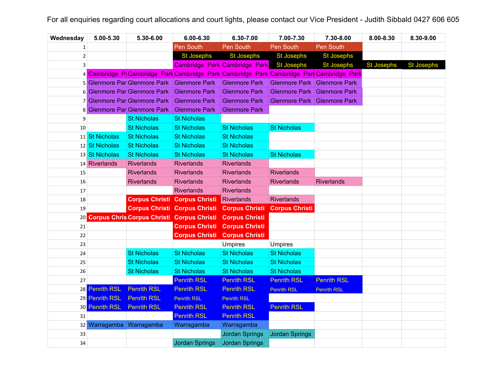| Wednesday    | 5.00-5.30                | 5.30-6.00                                         | 6.00-6.30                                                                                 | 6.30-7.00                     | 7.00-7.30                   | 7.30-8.00            | 8.00-8.30         | 8.30-9.00         |
|--------------|--------------------------|---------------------------------------------------|-------------------------------------------------------------------------------------------|-------------------------------|-----------------------------|----------------------|-------------------|-------------------|
| 1            |                          |                                                   | Pen South                                                                                 | Pen South                     | <b>Pen South</b>            | <b>Pen South</b>     |                   |                   |
| $\mathbf{2}$ |                          |                                                   | <b>St Josephs</b>                                                                         | <b>St Josephs</b>             | <b>St Josephs</b>           | <b>St Josephs</b>    |                   |                   |
| 3            |                          |                                                   |                                                                                           | Cambridge Park Cambridge Park | <b>St Josephs</b>           | <b>St Josephs</b>    | <b>St Josephs</b> | <b>St Josephs</b> |
|              |                          |                                                   | 4 Cambridge P: Cambridge Park Cambridge Park Cambridge Park Cambridge Park Cambridge Park |                               |                             |                      |                   |                   |
|              |                          | 5 Glenmore Par Glenmore Park                      | <b>Glenmore Park</b>                                                                      | <b>Glenmore Park</b>          | Glenmore Park Glenmore Park |                      |                   |                   |
|              |                          | 6 Glenmore Par Glenmore Park                      | <b>Glenmore Park</b>                                                                      | <b>Glenmore Park</b>          | <b>Glenmore Park</b>        | <b>Glenmore Park</b> |                   |                   |
|              |                          | 7 Glenmore Par Glenmore Park                      | <b>Glenmore Park</b>                                                                      | <b>Glenmore Park</b>          | <b>Glenmore Park</b>        | <b>Glenmore Park</b> |                   |                   |
| 8            |                          | <b>Glenmore Par Glenmore Park</b>                 | <b>Glenmore Park</b>                                                                      | <b>Glenmore Park</b>          |                             |                      |                   |                   |
| 9            |                          | <b>St Nicholas</b>                                | <b>St Nicholas</b>                                                                        |                               |                             |                      |                   |                   |
| 10           |                          | <b>St Nicholas</b>                                | <b>St Nicholas</b>                                                                        | <b>St Nicholas</b>            | <b>St Nicholas</b>          |                      |                   |                   |
|              | 11 St Nicholas           | <b>St Nicholas</b>                                | <b>St Nicholas</b>                                                                        | <b>St Nicholas</b>            |                             |                      |                   |                   |
|              | 12 St Nicholas           | <b>St Nicholas</b>                                | <b>St Nicholas</b>                                                                        | <b>St Nicholas</b>            |                             |                      |                   |                   |
|              | 13 St Nicholas           | <b>St Nicholas</b>                                | <b>St Nicholas</b>                                                                        | <b>St Nicholas</b>            | <b>St Nicholas</b>          |                      |                   |                   |
|              | 14 Riverlands            | <b>Riverlands</b>                                 | <b>Riverlands</b>                                                                         | <b>Riverlands</b>             |                             |                      |                   |                   |
| 15           |                          | <b>Riverlands</b>                                 | <b>Riverlands</b>                                                                         | <b>Riverlands</b>             | <b>Riverlands</b>           |                      |                   |                   |
| 16           |                          | Riverlands                                        | <b>Riverlands</b>                                                                         | <b>Riverlands</b>             | <b>Riverlands</b>           | <b>Riverlands</b>    |                   |                   |
| 17           |                          |                                                   | <b>Riverlands</b>                                                                         | <b>Riverlands</b>             |                             |                      |                   |                   |
| 18           |                          | <b>Corpus Christi Corpus Christi</b>              |                                                                                           | Riverlands                    | <b>Riverlands</b>           |                      |                   |                   |
| 19           |                          | <b>Corpus Christi Corpus Christi</b>              |                                                                                           | <b>Corpus Christi</b>         | <b>Corpus Christi</b>       |                      |                   |                   |
| 20           |                          | <b>Corpus Chris Corpus Christi Corpus Christi</b> |                                                                                           | <b>Corpus Christi</b>         |                             |                      |                   |                   |
| 21           |                          |                                                   | <b>Corpus Christi</b>                                                                     | <b>Corpus Christi</b>         |                             |                      |                   |                   |
| 22           |                          |                                                   | <b>Corpus Christi</b>                                                                     | <b>Corpus Christi</b>         |                             |                      |                   |                   |
| 23           |                          |                                                   |                                                                                           | <b>Umpires</b>                | <b>Umpires</b>              |                      |                   |                   |
| 24           |                          | <b>St Nicholas</b>                                | <b>St Nicholas</b>                                                                        | <b>St Nicholas</b>            | <b>St Nicholas</b>          |                      |                   |                   |
| 25           |                          | <b>St Nicholas</b>                                | <b>St Nicholas</b>                                                                        | <b>St Nicholas</b>            | <b>St Nicholas</b>          |                      |                   |                   |
| 26           |                          | <b>St Nicholas</b>                                | <b>St Nicholas</b>                                                                        | <b>St Nicholas</b>            | <b>St Nicholas</b>          |                      |                   |                   |
| 27           |                          |                                                   | <b>Penrith RSL</b>                                                                        | <b>Penrith RSL</b>            | <b>Penrith RSL</b>          | <b>Penrith RSL</b>   |                   |                   |
|              | 28 Penrith RSL           | <b>Penrith RSL</b>                                | <b>Penrith RSL</b>                                                                        | <b>Penrith RSL</b>            | <b>Penrith RSL</b>          | <b>Penrith RSL</b>   |                   |                   |
|              | 29 Penrith RSL           | <b>Penrith RSL</b>                                | <b>Penrith RSL</b>                                                                        | <b>Penrith RSL</b>            |                             |                      |                   |                   |
|              | 30 Penrith RSL           | <b>Penrith RSL</b>                                | <b>Penrith RSL</b>                                                                        | <b>Penrith RSL</b>            | <b>Penrith RSL</b>          |                      |                   |                   |
| 31           |                          |                                                   | <b>Penrith RSL</b>                                                                        | <b>Penrith RSL</b>            |                             |                      |                   |                   |
|              | 32 Warragamba Warragamba |                                                   | Warragamba                                                                                | Warragamba                    |                             |                      |                   |                   |
| 33           |                          |                                                   |                                                                                           | <b>Jordan Springs</b>         | Jordan Springs              |                      |                   |                   |
| 34           |                          |                                                   | <b>Jordan Springs</b>                                                                     | <b>Jordan Springs</b>         |                             |                      |                   |                   |